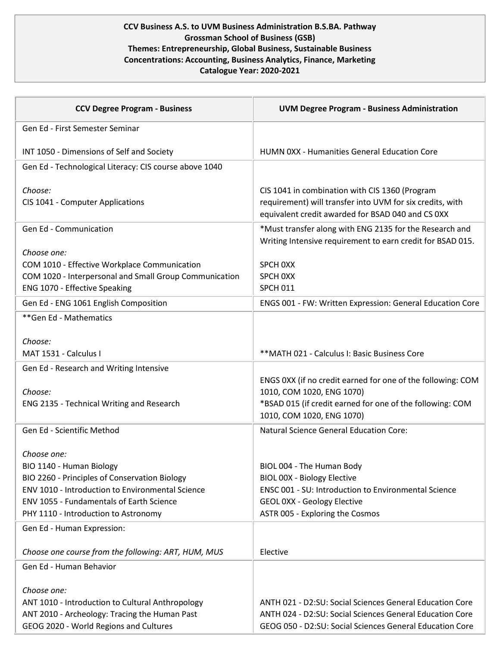## **CCV Business A.S. to UVM Business Administration B.S.BA. Pathway Grossman School of Business (GSB) Themes: Entrepreneurship, Global Business, Sustainable Business Concentrations: Accounting, Business Analytics, Finance, Marketing Catalogue Year: 2020-2021**

| <b>CCV Degree Program - Business</b>                                                                                                                                                                                             | <b>UVM Degree Program - Business Administration</b>                                                                                                                                       |
|----------------------------------------------------------------------------------------------------------------------------------------------------------------------------------------------------------------------------------|-------------------------------------------------------------------------------------------------------------------------------------------------------------------------------------------|
| Gen Ed - First Semester Seminar                                                                                                                                                                                                  |                                                                                                                                                                                           |
| INT 1050 - Dimensions of Self and Society                                                                                                                                                                                        | HUMN 0XX - Humanities General Education Core                                                                                                                                              |
| Gen Ed - Technological Literacy: CIS course above 1040                                                                                                                                                                           |                                                                                                                                                                                           |
| Choose:<br>CIS 1041 - Computer Applications                                                                                                                                                                                      | CIS 1041 in combination with CIS 1360 (Program<br>requirement) will transfer into UVM for six credits, with<br>equivalent credit awarded for BSAD 040 and CS 0XX                          |
| Gen Ed - Communication                                                                                                                                                                                                           | *Must transfer along with ENG 2135 for the Research and<br>Writing Intensive requirement to earn credit for BSAD 015.                                                                     |
| Choose one:<br>COM 1010 - Effective Workplace Communication<br>COM 1020 - Interpersonal and Small Group Communication<br>ENG 1070 - Effective Speaking                                                                           | SPCH OXX<br>SPCH OXX<br><b>SPCH 011</b>                                                                                                                                                   |
| Gen Ed - ENG 1061 English Composition                                                                                                                                                                                            | ENGS 001 - FW: Written Expression: General Education Core                                                                                                                                 |
| ** Gen Ed - Mathematics                                                                                                                                                                                                          |                                                                                                                                                                                           |
| Choose:<br>MAT 1531 - Calculus I                                                                                                                                                                                                 | ** MATH 021 - Calculus I: Basic Business Core                                                                                                                                             |
| Gen Ed - Research and Writing Intensive                                                                                                                                                                                          |                                                                                                                                                                                           |
| Choose:<br>ENG 2135 - Technical Writing and Research                                                                                                                                                                             | ENGS 0XX (if no credit earned for one of the following: COM<br>1010, COM 1020, ENG 1070)<br>*BSAD 015 (if credit earned for one of the following: COM<br>1010, COM 1020, ENG 1070)        |
| Gen Ed - Scientific Method                                                                                                                                                                                                       | <b>Natural Science General Education Core:</b>                                                                                                                                            |
| Choose one:<br>BIO 1140 - Human Biology<br>BIO 2260 - Principles of Conservation Biology<br>ENV 1010 - Introduction to Environmental Science<br>ENV 1055 - Fundamentals of Earth Science<br>PHY 1110 - Introduction to Astronomy | BIOL 004 - The Human Body<br>BIOL 00X - Biology Elective<br>ENSC 001 - SU: Introduction to Environmental Science<br><b>GEOL 0XX - Geology Elective</b><br>ASTR 005 - Exploring the Cosmos |
| Gen Ed - Human Expression:                                                                                                                                                                                                       |                                                                                                                                                                                           |
| Choose one course from the following: ART, HUM, MUS                                                                                                                                                                              | Elective                                                                                                                                                                                  |
| Gen Ed - Human Behavior                                                                                                                                                                                                          |                                                                                                                                                                                           |
| Choose one:<br>ANT 1010 - Introduction to Cultural Anthropology<br>ANT 2010 - Archeology: Tracing the Human Past<br>GEOG 2020 - World Regions and Cultures                                                                       | <b>ANTH 021 - D2:SU: Social Sciences General Education Core</b><br>ANTH 024 - D2:SU: Social Sciences General Education Core<br>GEOG 050 - D2:SU: Social Sciences General Education Core   |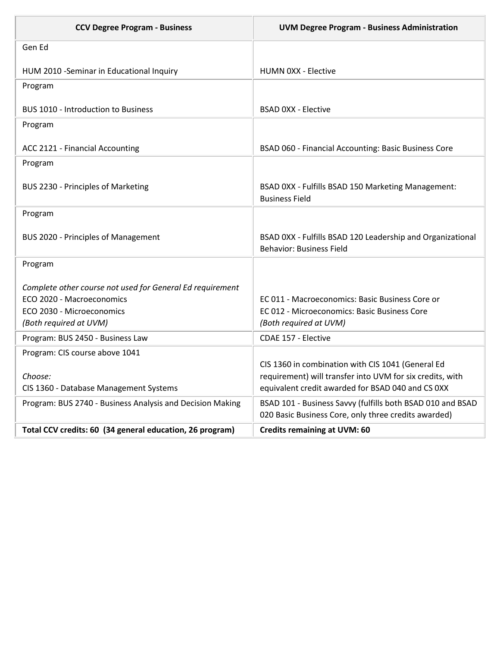| <b>CCV Degree Program - Business</b>                                                                                                          | <b>UVM Degree Program - Business Administration</b>                                                                       |
|-----------------------------------------------------------------------------------------------------------------------------------------------|---------------------------------------------------------------------------------------------------------------------------|
| Gen Ed                                                                                                                                        |                                                                                                                           |
| HUM 2010 - Seminar in Educational Inquiry                                                                                                     | <b>HUMN 0XX - Elective</b>                                                                                                |
| Program                                                                                                                                       |                                                                                                                           |
| <b>BUS 1010 - Introduction to Business</b>                                                                                                    | <b>BSAD OXX - Elective</b>                                                                                                |
| Program                                                                                                                                       |                                                                                                                           |
| ACC 2121 - Financial Accounting                                                                                                               | BSAD 060 - Financial Accounting: Basic Business Core                                                                      |
| Program                                                                                                                                       |                                                                                                                           |
| BUS 2230 - Principles of Marketing                                                                                                            | BSAD 0XX - Fulfills BSAD 150 Marketing Management:<br><b>Business Field</b>                                               |
| Program                                                                                                                                       |                                                                                                                           |
| <b>BUS 2020 - Principles of Management</b>                                                                                                    | BSAD 0XX - Fulfills BSAD 120 Leadership and Organizational<br><b>Behavior: Business Field</b>                             |
| Program                                                                                                                                       |                                                                                                                           |
| Complete other course not used for General Ed requirement<br>ECO 2020 - Macroeconomics<br>ECO 2030 - Microeconomics<br>(Both required at UVM) | EC 011 - Macroeconomics: Basic Business Core or<br>EC 012 - Microeconomics: Basic Business Core<br>(Both required at UVM) |
| Program: BUS 2450 - Business Law                                                                                                              | CDAE 157 - Elective                                                                                                       |
| Program: CIS course above 1041                                                                                                                | CIS 1360 in combination with CIS 1041 (General Ed                                                                         |
| Choose:                                                                                                                                       | requirement) will transfer into UVM for six credits, with                                                                 |
| CIS 1360 - Database Management Systems                                                                                                        | equivalent credit awarded for BSAD 040 and CS 0XX                                                                         |
| Program: BUS 2740 - Business Analysis and Decision Making                                                                                     | BSAD 101 - Business Savvy (fulfills both BSAD 010 and BSAD<br>020 Basic Business Core, only three credits awarded)        |
| Total CCV credits: 60 (34 general education, 26 program)                                                                                      | <b>Credits remaining at UVM: 60</b>                                                                                       |